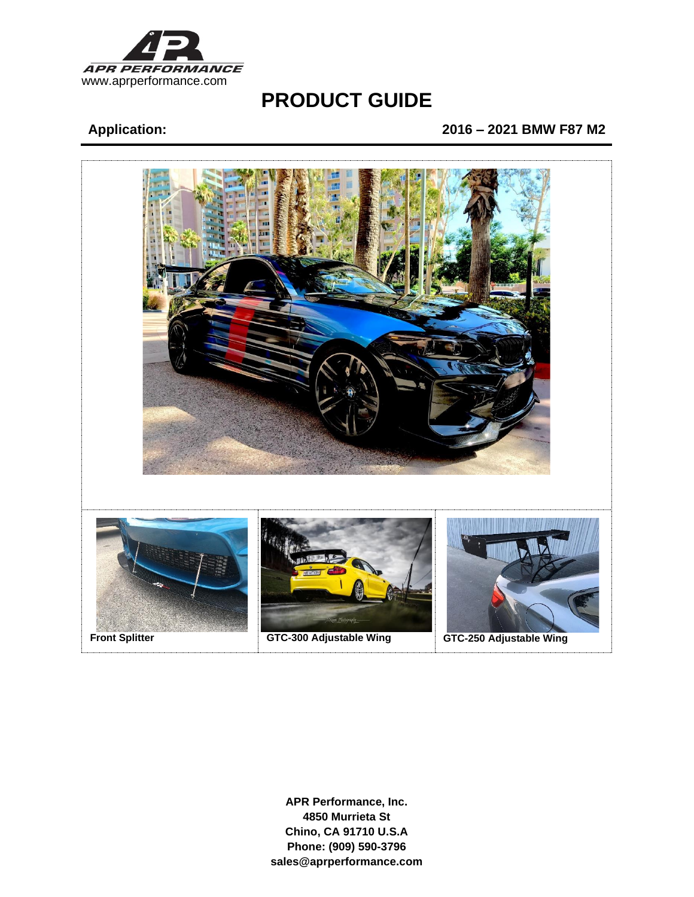

# **PRODUCT GUIDE**

# **Application: 2016 – 2021 BMW F87 M2**



**APR Performance, Inc. 4850 Murrieta St Chino, CA 91710 U.S.A Phone: (909) 590-3796 sales@aprperformance.com**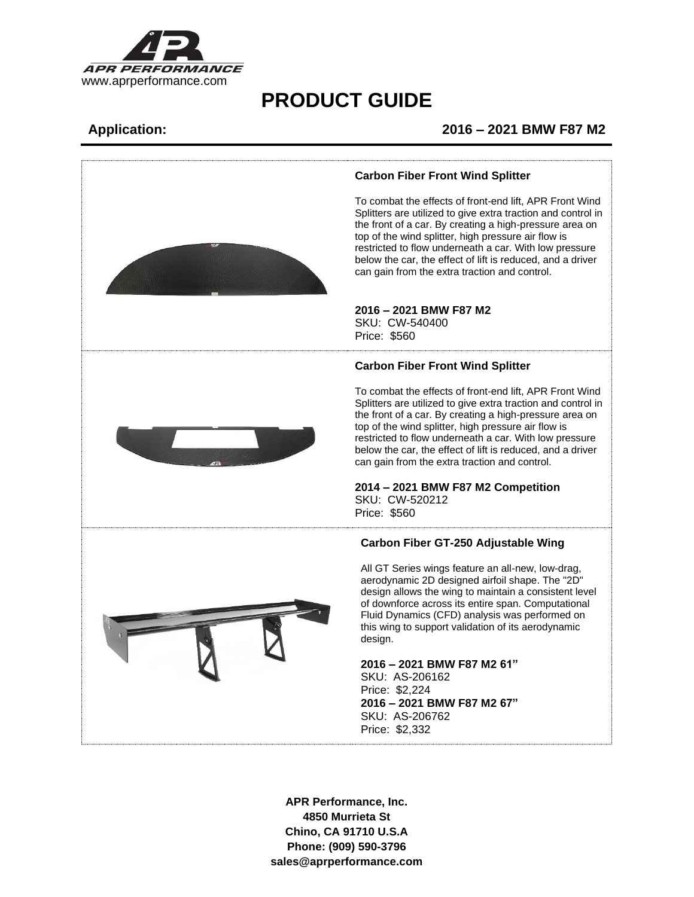

# **PRODUCT GUIDE**

## **Application: 2016 – 2021 BMW F87 M2**



### **APR Performance, Inc. 4850 Murrieta St Chino, CA 91710 U.S.A Phone: (909) 590-3796 sales@aprperformance.com**

#### **Carbon Fiber Front Wind Splitter**

To combat the effects of front-end lift, APR Front Wind Splitters are utilized to give extra traction and control in the front of a car. By creating a high-pressure area on top of the wind splitter, high pressure air flow is restricted to flow underneath a car. With low pressure below the car, the effect of lift is reduced, and a driver can gain from the extra traction and control.

## **2016 – 2021 BMW F87 M2**

### **Carbon Fiber Front Wind Splitter**

To combat the effects of front-end lift, APR Front Wind Splitters are utilized to give extra traction and control in the front of a car. By creating a high-pressure area on top of the wind splitter, high pressure air flow is restricted to flow underneath a car. With low pressure below the car, the effect of lift is reduced, and a driver can gain from the extra traction and control.

#### **2014 – 2021 BMW F87 M2 Competition** SKU: CW-520212

### **Carbon Fiber GT-250 Adjustable Wing**

All GT Series wings feature an all-new, low-drag, aerodynamic 2D designed airfoil shape. The "2D" design allows the wing to maintain a consistent level of downforce across its entire span. Computational Fluid Dynamics (CFD) analysis was performed on this wing to support validation of its aerodynamic

#### **2016 – 2021 BMW F87 M2 61"**

SKU: AS-206162 **2016 – 2021 BMW F87 M2 67"** SKU: AS-206762